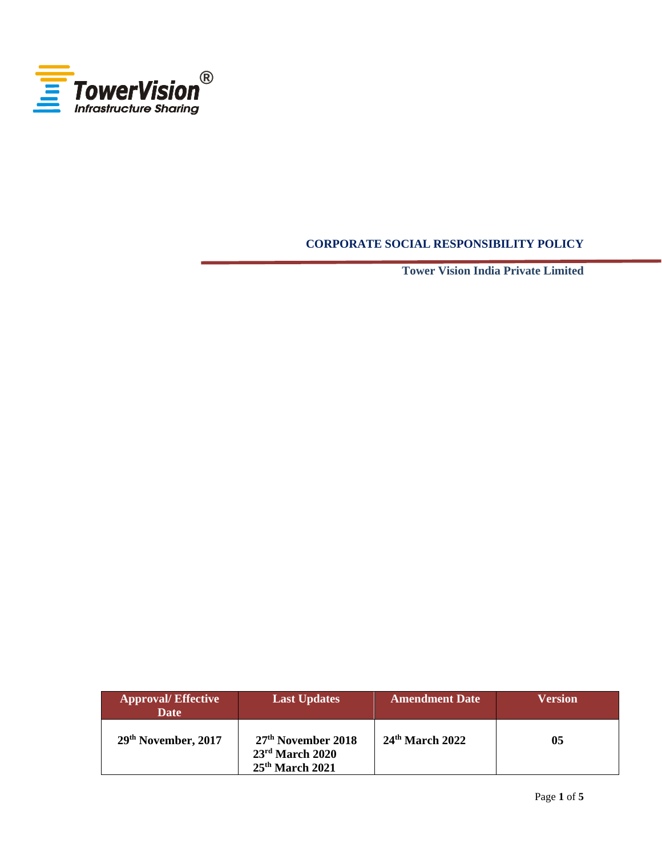

# **CORPORATE SOCIAL RESPONSIBILITY POLICY**

**Tower Vision India Private Limited**

| <b>Approval/Effective</b><br><b>Date</b> | <b>Last Updates</b>                                                      | <b>Amendment Date</b> | <b>Version</b> |
|------------------------------------------|--------------------------------------------------------------------------|-----------------------|----------------|
| 29th November, 2017                      | 27 <sup>th</sup> November 2018<br>$23rd$ March 2020<br>$25th$ March 2021 | $24th$ March 2022     | 05             |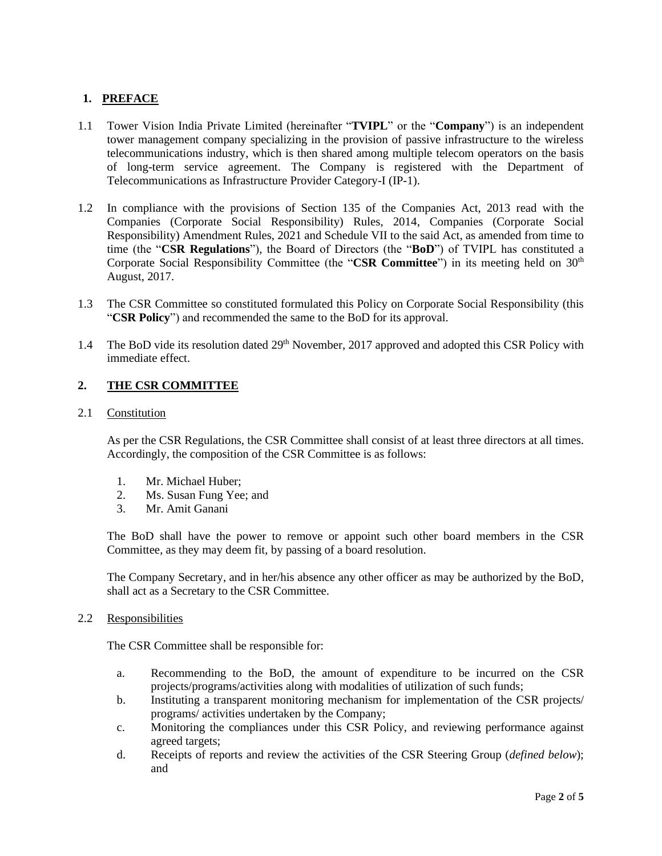## **1. PREFACE**

- 1.1 Tower Vision India Private Limited (hereinafter "**TVIPL**" or the "**Company**") is an independent tower management company specializing in the provision of passive infrastructure to the wireless telecommunications industry, which is then shared among multiple telecom operators on the basis of long-term service agreement. The Company is registered with the Department of Telecommunications as Infrastructure Provider Category-I (IP-1).
- 1.2 In compliance with the provisions of Section 135 of the Companies Act, 2013 read with the Companies (Corporate Social Responsibility) Rules, 2014, Companies (Corporate Social Responsibility) Amendment Rules, 2021 and Schedule VII to the said Act, as amended from time to time (the "**CSR Regulations**"), the Board of Directors (the "**BoD**") of TVIPL has constituted a Corporate Social Responsibility Committee (the "**CSR Committee**") in its meeting held on 30<sup>th</sup> August, 2017.
- 1.3 The CSR Committee so constituted formulated this Policy on Corporate Social Responsibility (this "**CSR Policy**") and recommended the same to the BoD for its approval.
- 1.4 The BoD vide its resolution dated 29<sup>th</sup> November, 2017 approved and adopted this CSR Policy with immediate effect.

## **2. THE CSR COMMITTEE**

2.1 Constitution

As per the CSR Regulations, the CSR Committee shall consist of at least three directors at all times. Accordingly, the composition of the CSR Committee is as follows:

- 1. Mr. Michael Huber;
- 2. Ms. Susan Fung Yee; and
- 3. Mr. Amit Ganani

The BoD shall have the power to remove or appoint such other board members in the CSR Committee, as they may deem fit, by passing of a board resolution.

The Company Secretary, and in her/his absence any other officer as may be authorized by the BoD, shall act as a Secretary to the CSR Committee.

2.2 Responsibilities

The CSR Committee shall be responsible for:

- a. Recommending to the BoD, the amount of expenditure to be incurred on the CSR projects/programs/activities along with modalities of utilization of such funds;
- b. Instituting a transparent monitoring mechanism for implementation of the CSR projects/ programs/ activities undertaken by the Company;
- c. Monitoring the compliances under this CSR Policy, and reviewing performance against agreed targets;
- d. Receipts of reports and review the activities of the CSR Steering Group (*defined below*); and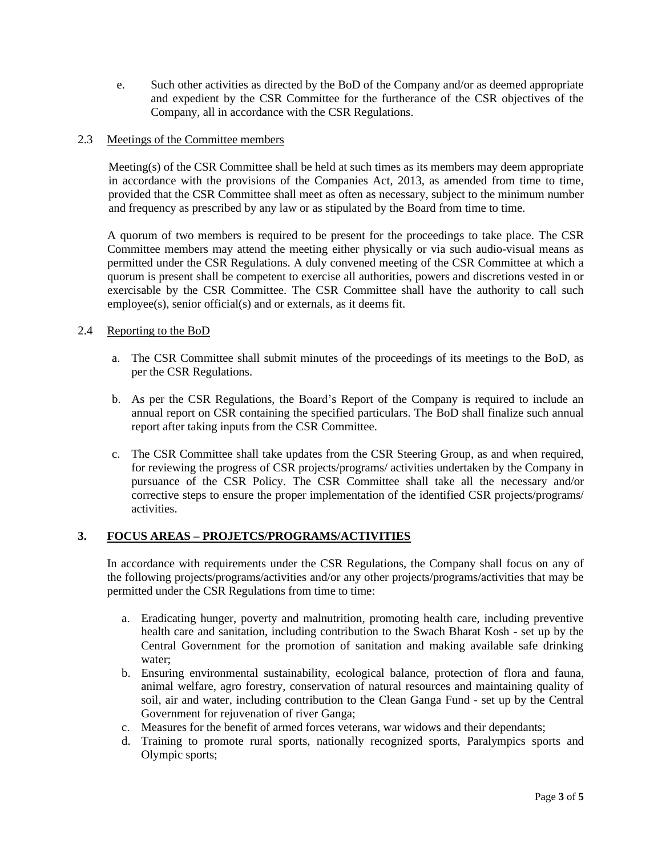e. Such other activities as directed by the BoD of the Company and/or as deemed appropriate and expedient by the CSR Committee for the furtherance of the CSR objectives of the Company, all in accordance with the CSR Regulations.

## 2.3 Meetings of the Committee members

Meeting(s) of the CSR Committee shall be held at such times as its members may deem appropriate in accordance with the provisions of the Companies Act, 2013, as amended from time to time, provided that the CSR Committee shall meet as often as necessary, subject to the minimum number and frequency as prescribed by any law or as stipulated by the Board from time to time.

A quorum of two members is required to be present for the proceedings to take place. The CSR Committee members may attend the meeting either physically or via such audio-visual means as permitted under the CSR Regulations. A duly convened meeting of the CSR Committee at which a quorum is present shall be competent to exercise all authorities, powers and discretions vested in or exercisable by the CSR Committee. The CSR Committee shall have the authority to call such employee(s), senior official(s) and or externals, as it deems fit.

#### 2.4 Reporting to the BoD

- a. The CSR Committee shall submit minutes of the proceedings of its meetings to the BoD, as per the CSR Regulations.
- b. As per the CSR Regulations, the Board's Report of the Company is required to include an annual report on CSR containing the specified particulars. The BoD shall finalize such annual report after taking inputs from the CSR Committee.
- c. The CSR Committee shall take updates from the CSR Steering Group, as and when required, for reviewing the progress of CSR projects/programs/ activities undertaken by the Company in pursuance of the CSR Policy. The CSR Committee shall take all the necessary and/or corrective steps to ensure the proper implementation of the identified CSR projects/programs/ activities.

## **3. FOCUS AREAS – PROJETCS/PROGRAMS/ACTIVITIES**

In accordance with requirements under the CSR Regulations, the Company shall focus on any of the following projects/programs/activities and/or any other projects/programs/activities that may be permitted under the CSR Regulations from time to time:

- a. Eradicating hunger, poverty and malnutrition, promoting health care, including preventive health care and sanitation, including contribution to the Swach Bharat Kosh - set up by the Central Government for the promotion of sanitation and making available safe drinking water;
- b. Ensuring environmental sustainability, ecological balance, protection of flora and fauna, animal welfare, agro forestry, conservation of natural resources and maintaining quality of soil, air and water, including contribution to the Clean Ganga Fund - set up by the Central Government for rejuvenation of river Ganga;
- c. Measures for the benefit of armed forces veterans, war widows and their dependants;
- d. Training to promote rural sports, nationally recognized sports, Paralympics sports and Olympic sports;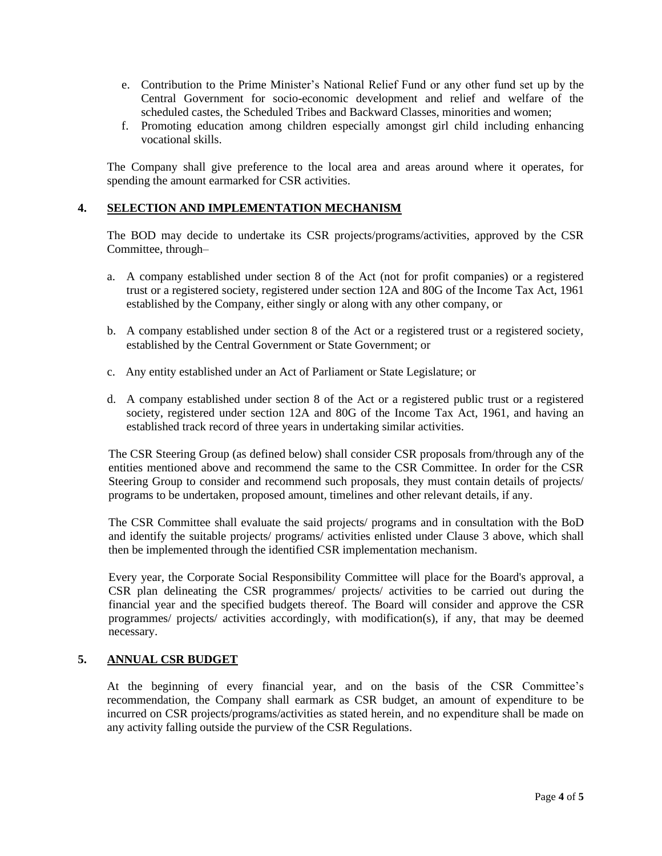- e. Contribution to the Prime Minister's National Relief Fund or any other fund set up by the Central Government for socio-economic development and relief and welfare of the scheduled castes, the Scheduled Tribes and Backward Classes, minorities and women;
- f. Promoting education among children especially amongst girl child including enhancing vocational skills.

The Company shall give preference to the local area and areas around where it operates, for spending the amount earmarked for CSR activities.

## **4. SELECTION AND IMPLEMENTATION MECHANISM**

The BOD may decide to undertake its CSR projects/programs/activities, approved by the CSR Committee, through–

- a. A company established under section 8 of the Act (not for profit companies) or a registered trust or a registered society, registered under section 12A and 80G of the Income Tax Act, 1961 established by the Company, either singly or along with any other company, or
- b. A company established under section 8 of the Act or a registered trust or a registered society, established by the Central Government or State Government; or
- c. Any entity established under an Act of Parliament or State Legislature; or
- d. A company established under section 8 of the Act or a registered public trust or a registered society, registered under section 12A and 80G of the Income Tax Act, 1961, and having an established track record of three years in undertaking similar activities.

The CSR Steering Group (as defined below) shall consider CSR proposals from/through any of the entities mentioned above and recommend the same to the CSR Committee. In order for the CSR Steering Group to consider and recommend such proposals, they must contain details of projects/ programs to be undertaken, proposed amount, timelines and other relevant details, if any.

The CSR Committee shall evaluate the said projects/ programs and in consultation with the BoD and identify the suitable projects/ programs/ activities enlisted under Clause 3 above, which shall then be implemented through the identified CSR implementation mechanism.

Every year, the Corporate Social Responsibility Committee will place for the Board's approval, a CSR plan delineating the CSR programmes/ projects/ activities to be carried out during the financial year and the specified budgets thereof. The Board will consider and approve the CSR programmes/ projects/ activities accordingly, with modification(s), if any, that may be deemed necessary.

## **5. ANNUAL CSR BUDGET**

At the beginning of every financial year, and on the basis of the CSR Committee's recommendation, the Company shall earmark as CSR budget, an amount of expenditure to be incurred on CSR projects/programs/activities as stated herein, and no expenditure shall be made on any activity falling outside the purview of the CSR Regulations.